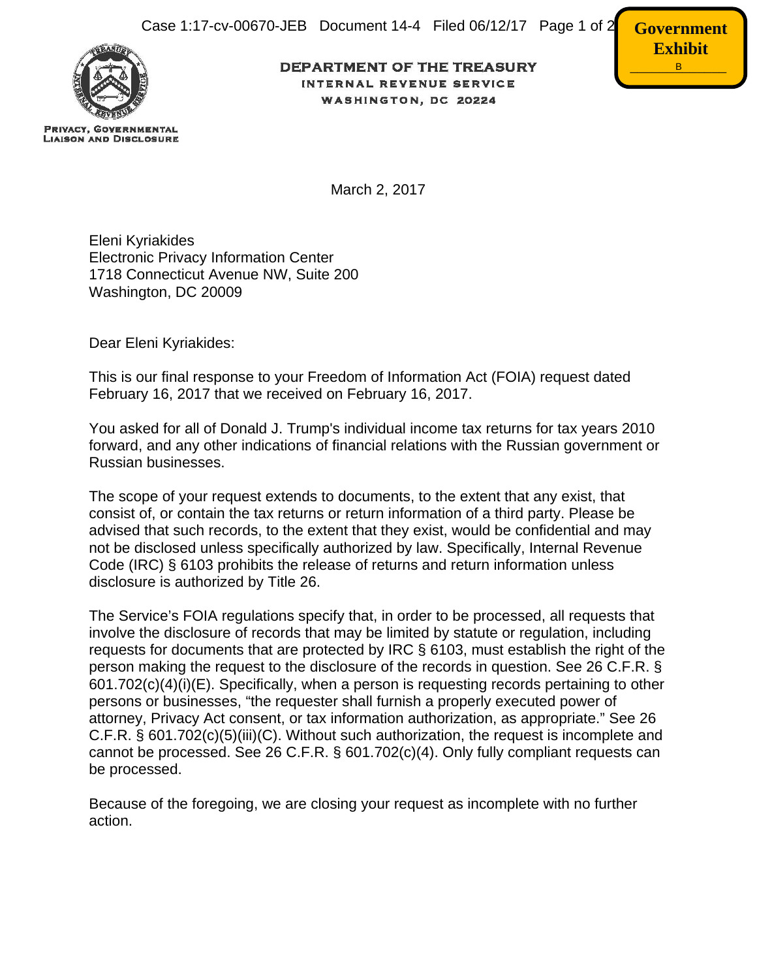

**PRIVACY, GOVERNMENTAL LIAISON AND DISCLOSURE**  **DEPARTMENT OF THE TREASURY** INTERNAL REVENUE SERVICE WASHINGTON, DC 20224



March 2, 2017

Eleni Kyriakides Electronic Privacy Information Center 1718 Connecticut Avenue NW, Suite 200 Washington, DC 20009

Dear Eleni Kyriakides:

This is our final response to your Freedom of Information Act (FOIA) request dated February 16, 2017 that we received on February 16, 2017.

You asked for all of Donald J. Trump's individual income tax returns for tax years 2010 forward, and any other indications of financial relations with the Russian government or Russian businesses.

The scope of your request extends to documents, to the extent that any exist, that consist of, or contain the tax returns or return information of a third party. Please be advised that such records, to the extent that they exist, would be confidential and may not be disclosed unless specifically authorized by law. Specifically, Internal Revenue Code (IRC) § 6103 prohibits the release of returns and return information unless disclosure is authorized by Title 26.

The Service's FOIA regulations specify that, in order to be processed, all requests that involve the disclosure of records that may be limited by statute or regulation, including requests for documents that are protected by IRC § 6103, must establish the right of the person making the request to the disclosure of the records in question. See 26 C.F.R. § 601.702(c)(4)(i)(E). Specifically, when a person is requesting records pertaining to other persons or businesses, "the requester shall furnish a properly executed power of attorney, Privacy Act consent, or tax information authorization, as appropriate." See 26 C.F.R. § 601.702(c)(5)(iii)(C). Without such authorization, the request is incomplete and cannot be processed. See 26 C.F.R. § 601.702(c)(4). Only fully compliant requests can be processed.

Because of the foregoing, we are closing your request as incomplete with no further action.